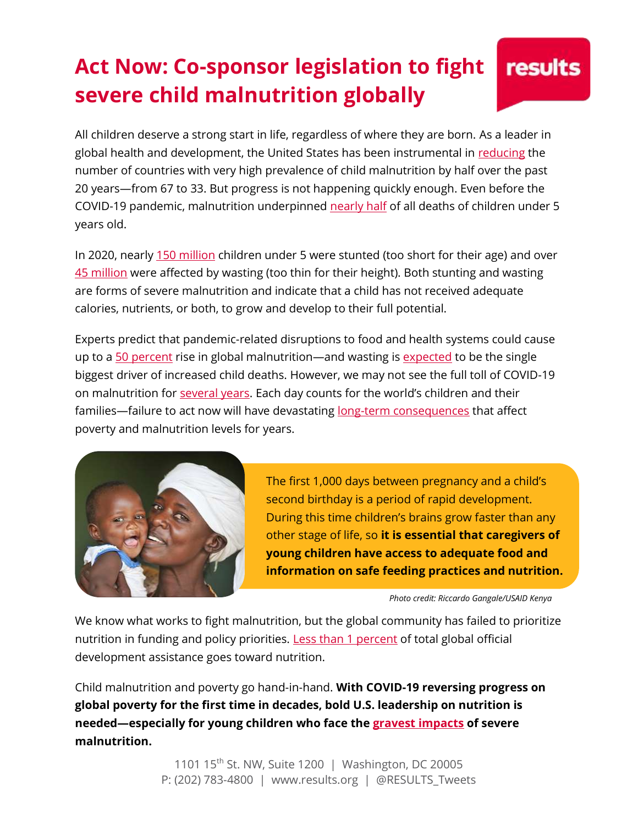## **Act Now: Co-sponsor legislation to fight severe child malnutrition globally**

All children deserve a strong start in life, regardless of where they are born. As a leader in global health and development, the United States has been instrumental in [reducing](https://www.who.int/data/gho/data/themes/topics/joint-child-malnutrition-estimates-unicef-who-wb) the number of countries with very high prevalence of child malnutrition by half over the past 20 years—from 67 to 33. But progress is not happening quickly enough. Even before the COVID-19 pandemic, malnutrition underpinned [nearly half](https://www.thelancet.com/journals/lancet/article/PIIS0140-6736(13)60937-X/fulltext) of all deaths of children under 5 years old.

In 2020, nearly [150](https://www.who.int/data/gho/data/themes/topics/joint-child-malnutrition-estimates-unicef-who-wb) million children under 5 were stunted (too short for their age) and over [45 million](https://www.who.int/data/gho/data/themes/topics/joint-child-malnutrition-estimates-unicef-who-wb) were affected by wasting (too thin for their height). Both stunting and wasting are forms of severe malnutrition and indicate that a child has not received adequate calories, nutrients, or both, to grow and develop to their full potential.

Experts predict that pandemic-related disruptions to food and health systems could cause up to [a 50 percent](https://thousanddays.org/wp-content/uploads/NourishtheFuture_Overview_v4.pdf) rise in global malnutrition—and wasting is [expected](https://papers.ssrn.com/sol3/papers.cfm?abstract_id=3576549) to be the single biggest driver of increased child deaths. However, we may not see the full toll of COVID-19 on malnutrition for [several years.](https://www.who.int/data/gho/data/themes/topics/joint-child-malnutrition-estimates-unicef-who-wb) Each day counts for the world's children and their families—failure to act now will have devastating [long-term consequences](https://www.thelancet.com/article/S0140-6736(20)31648-2/fulltext) that affect poverty and malnutrition levels for years.



The first 1,000 days between pregnancy and a child's second birthday is a period of rapid development. During this time children's brains grow faster than any other stage of life, so **it is essential that caregivers of young children have access to adequate food and information on safe feeding practices and nutrition.**

*Photo credit: Riccardo Gangale/USAID Kenya*

We know what works to fight malnutrition, but the global community has failed to prioritize nutrition in funding and policy priorities. [Less than 1 percent](https://globalnutritionreport.org/reports/global-nutrition-report-2018/the-fight-against-malnutrition-commitments-and-financing/) of total global official development assistance goes toward nutrition.

Child malnutrition and poverty go hand-in-hand. **With COVID-19 reversing progress on global poverty for the first time in decades, bold U.S. leadership on nutrition is needed—especially for young children who face the [gravest impacts](https://nutritionforgrowth.org/why-nutrition/) of severe malnutrition.**

> 1101 15<sup>th</sup> St. NW, Suite 1200 | Washington, DC 20005 P: (202) 783-4800 | www.results.org | @RESULTS\_Tweets